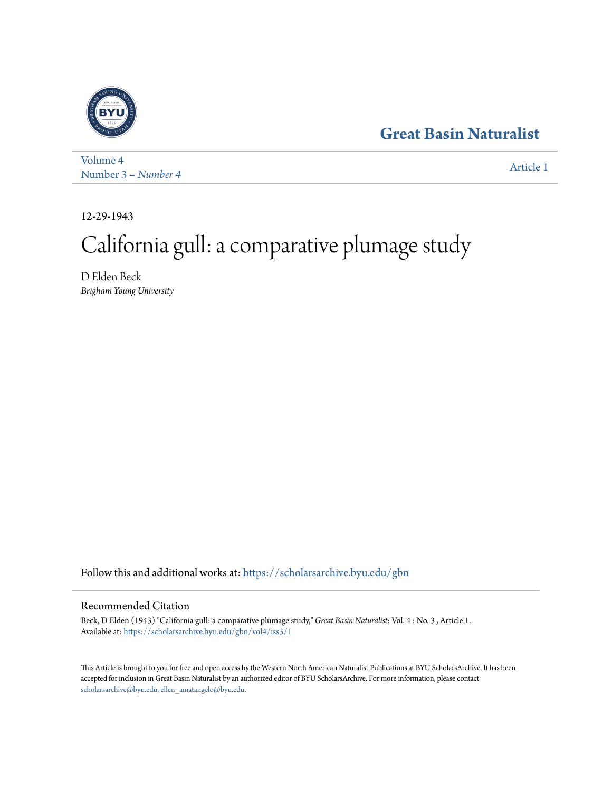## **[Great Basin Naturalist](https://scholarsarchive.byu.edu/gbn?utm_source=scholarsarchive.byu.edu%2Fgbn%2Fvol4%2Fiss3%2F1&utm_medium=PDF&utm_campaign=PDFCoverPages)**



[Volume 4](https://scholarsarchive.byu.edu/gbn/vol4?utm_source=scholarsarchive.byu.edu%2Fgbn%2Fvol4%2Fiss3%2F1&utm_medium=PDF&utm_campaign=PDFCoverPages) Number 3 *[– Number 4](https://scholarsarchive.byu.edu/gbn/vol4/iss3?utm_source=scholarsarchive.byu.edu%2Fgbn%2Fvol4%2Fiss3%2F1&utm_medium=PDF&utm_campaign=PDFCoverPages)* [Article 1](https://scholarsarchive.byu.edu/gbn/vol4/iss3/1?utm_source=scholarsarchive.byu.edu%2Fgbn%2Fvol4%2Fiss3%2F1&utm_medium=PDF&utm_campaign=PDFCoverPages)

12-29-1943

# California gull: a comparative plumage study

D Elden Beck *Brigham Young University*

Follow this and additional works at: [https://scholarsarchive.byu.edu/gbn](https://scholarsarchive.byu.edu/gbn?utm_source=scholarsarchive.byu.edu%2Fgbn%2Fvol4%2Fiss3%2F1&utm_medium=PDF&utm_campaign=PDFCoverPages)

### Recommended Citation

Beck, D Elden (1943) "California gull: a comparative plumage study," *Great Basin Naturalist*: Vol. 4 : No. 3 , Article 1. Available at: [https://scholarsarchive.byu.edu/gbn/vol4/iss3/1](https://scholarsarchive.byu.edu/gbn/vol4/iss3/1?utm_source=scholarsarchive.byu.edu%2Fgbn%2Fvol4%2Fiss3%2F1&utm_medium=PDF&utm_campaign=PDFCoverPages)

This Article is brought to you for free and open access by the Western North American Naturalist Publications at BYU ScholarsArchive. It has been accepted for inclusion in Great Basin Naturalist by an authorized editor of BYU ScholarsArchive. For more information, please contact [scholarsarchive@byu.edu, ellen\\_amatangelo@byu.edu.](mailto:scholarsarchive@byu.edu,%20ellen_amatangelo@byu.edu)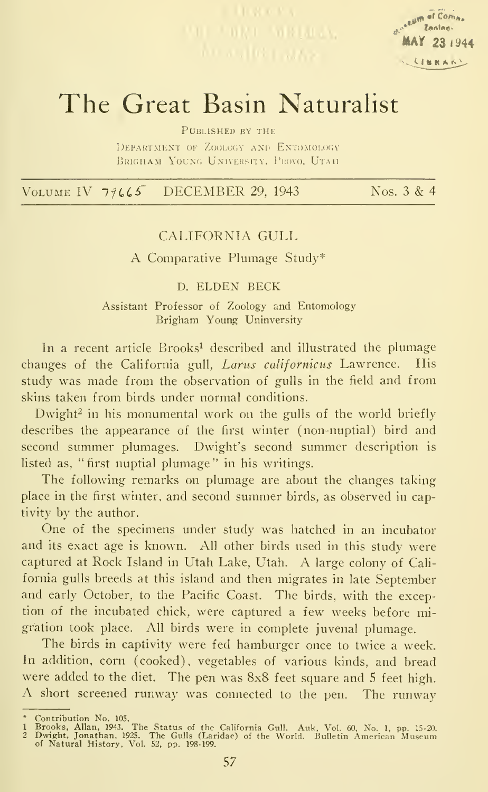

## The Great Basin Naturalist

PUBLISHED BY THE

DEPARTMENT OF ZOOLOGY AND ENTOMOLOGY BRIGHAM YOUNG UNIVERSITY, PROVO. UTAH

VOLUME IV  $79665$  DECEMBER 29, 1943 Nos. 3 & 4

#### CALIFORNIA GULL

A Comparative Plumage Study\*

#### D. ELDEN BECK

Assistant Professor of Zoology and Entomology Brigham Young Uninversity

In a recent article Brooks<sup>1</sup> described and illustrated the plumage changes of the California gull, Larus californicus Lawrence. His study was made from the observation of gulls in the field and from skins taken from birds under normal conditions.

Dwight<sup>2</sup> in his monumental work on the gulls of the world briefly describes the appearance of the first winter (non-nuptial) bird and second summer plumages. Dwight's second summer description is listed as, " first nuptial plumage " in his writings.

The following remarks on plumage are about the changes taking place in the first winter, and second summer birds, as observed in captivity by the author.

One of the specimens under study was hatched in an incubator and its exact age is known. All other birds used in this study were captured at Rock Island in Utah Lake, Utah. A large colony of Cali fornia gulls breeds at this island and then migrates in late September and early October, to the Pacific Coast. The birds, with the exception of the incubated chick, were captured a few weeks before migration took place. All birds were in complete juvenal plumage.

The birds in captivity were fed hamburger once to twice <sup>a</sup> week. In addition, corn (cooked), vegetables of various kinds, and bread were added to the diet. The pen was 8x8 feet square and 5 feet high. A short screened runway was connected to the pen. The runway

<sup>\*</sup> Contribution No. 105.<br>1 Brooks, Allan, 1943. The Status of the California Gull. Auk, Vol. 60, No. 1, pp. 15-20.<br>2 Dwight, Jonathan, 1925. The Gulls (Laridae) of the World. Bulletin American Museum<br>of Natural History, Vol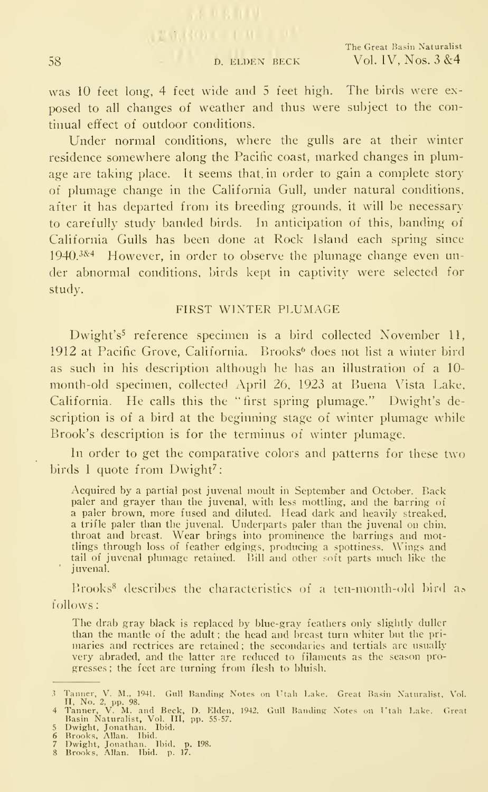**EMERGE THE CO.** 

was 10 feet long, 4 feet wide and <sup>5</sup> feet high. The birds were ex posed to all changes of weather and thus were subject to the continual effect of outdoor conditions.

Under normal conditions, where the gulls are at their winter residence somewhere along the Pacific coast, marked changes in plumage are taking place. It seems that, in order to gain a complete story of plumage change in the Califoniia Gull, under natural conditions, after it has departed from its breeding grounds, it will be necessary to carefully study banded birds. In anticipation of this, banding of California Gulls has been done at Rock Island each spring since  $1940.^{384}$  However, in order to observe the plumage change even under abnormal conditions, birds kept in captivity were selected for study.

#### FIRST WINTER PLUMAGE

Dwight's<sup>5</sup> reference specimen is a bird collected November 11, 1912 at Pacific Grove, California. Brooks^ does not list a winter bird as such in his description although he has an illustration of a 10 month-old specimen, collected April 26, 1923 at Buena Vista Lake, California. He calls this the "first spring plumage." Dwight's description is of a bird at the beginning stage of winter plumage while Brook's description is for the terminus of winter plumage.

In order to get the comparative colors and patterns for these two birds 1 quote from Dwight<sup>7</sup>:

Acquired by a partial post juvenal moult in September and October. Back paler and grayer than the juvenal, with less mottling, and the barring of a paler brown, more fused and diluted. Head dark and heavily streaked, a trifle paler than the juvenal. Underparts paler than the juvenal on chin, throat and breast. Wear brings into<br>throat and breast. Wear brings into prominence the barrings and mottlings through loss of feather edgings, producing a spottiness. Wings and tail of juvenal plumage retained. Bill and other soft parts much like the juvenal.

 $Brooks<sup>8</sup>$  describes the characteristics of a ten-month-old bird as follows:

The drab gray black is replaced by blue-gray feathers only slightly duller than the mantle of the adult ; the head and breast turn whiter but the pri maries and rectrices are retained ; the secondaries and tertials are usually very abraded, and the latter are reduced to filaments as the season pro gresses ; the feet are turning from flesh to bluish.

<sup>3</sup> Tamer, V. M., 1941. Gull Banding Notes on Utah Lake. Great Basin Naturalist, Vol.<br>4 Ti, No. 2, pp. 98.<br>4 Tamer, V. M. and Beck, D. Elden, 1942. Gull Banding Notes on Utah Lake. Great<br>8 Basin Naturalist, Vol. III, pp. 55-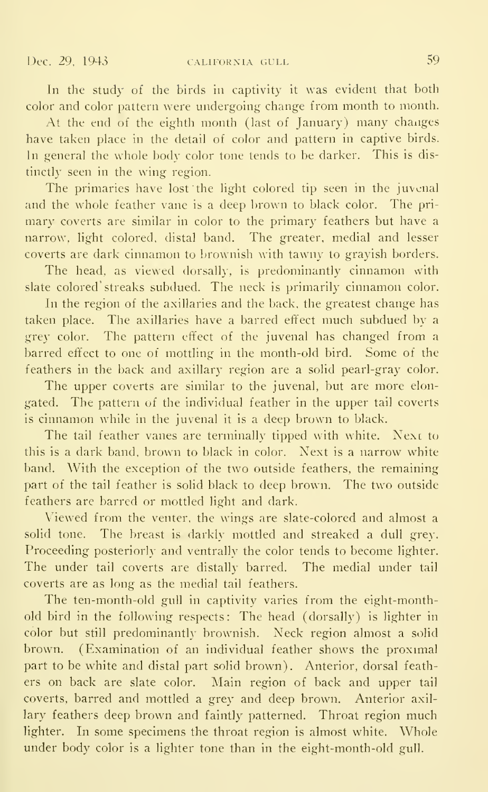In the study of the birds in captivity it was evident that both color and color pattern were undergoing change from month to month.

At the end of the eighth month (last of January) many changes have taken place in the detail of color and pattern in captive birds. In general the whole body color tone tends to be darker. This is dis tinctly seen in the wing region.

The primaries have lost the light colored tip seen in the juvenal and the whole feather vane is a deep brown to black color. The primary coverts are similar in color to the primary feathers but have a narrow, light colored, distal band. The greater, medial and lesser coverts are dark cinnamon to brownish with tawny to grayish borders.

The head, as viewed dorsally, is predominantly cinnamon with slate colored' streaks subdued. The neck is primarily cinnamon color.

In the region of the axillaries and the back, the greatest change has taken place. The axillaries have a barred effect much subdued by a grey color. The pattern effect of the juvenal has changed from a barred effect to one of mottling in the month-old bird. Some of the feathers in the back and axillary region are a solid pearl-gray color.

The upper coverts are similar to the juvenal, but are more elon gated. The pattern of the individual feather in the upper tail coverts is cinnamon while in the juvenal it is a deep brown to black.

The tail feather vanes are terminally tipped with white. Next to this is a dark band, brown to black in color. Next is a narrow white band. With the exception of the two outside feathers, the remaining part of the tail feather is solid black to deep brown. The two outside feathers are barred or mottled light and dark.

Viewed from the venter, the wings are slate-colored and almost a solid tone. The breast is darkly mottled and streaked a dull grey. Proceeding posteriorly and ventrally the color tends to become lighter. The under tail coverts are distally barred. The medial under tail coverts are as long as the medial tail feathers.

The ten-month-old gull in captivity varies from the eight-monthold bird in the following respects: The head (dorsally) is lighter in color but still predominantly brownish. Neck region almost a solid brown. (Examination of an individual feather shows the proximal part to be white and distal part solid brown). Anterior, dorsal feathers on back are slate color. Main region of back and upper tail coverts, barred and mottled a grey and deep brown. Anterior axil lary feathers deep brown and faintly patterned. Throat region much lighter. In some specimens the throat region is almost white. Whole under body color is a lighter tone than in the eight-month-old gull.